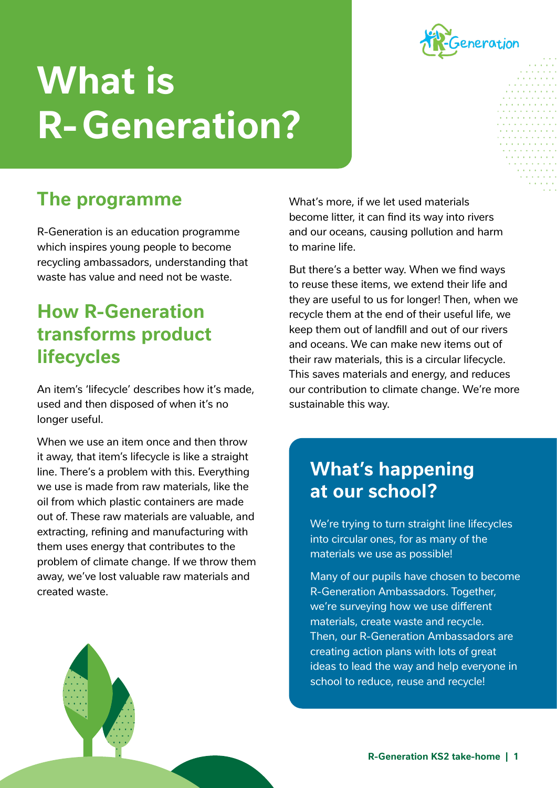

# **What is R- Generation?**

# **The programme**

R-Generation is an education programme which inspires young people to become recycling ambassadors, understanding that waste has value and need not be waste.

## **How R-Generation transforms product lifecycles**

An item's 'lifecycle' describes how it's made, used and then disposed of when it's no longer useful.

When we use an item once and then throw it away, that item's lifecycle is like a straight line. There's a problem with this. Everything we use is made from raw materials, like the oil from which plastic containers are made out of. These raw materials are valuable, and extracting, refining and manufacturing with them uses energy that contributes to the problem of climate change. If we throw them away, we've lost valuable raw materials and created waste.

What's more, if we let used materials become litter, it can find its way into rivers and our oceans, causing pollution and harm to marine life.

But there's a better way. When we find ways to reuse these items, we extend their life and they are useful to us for longer! Then, when we recycle them at the end of their useful life, we keep them out of landfill and out of our rivers and oceans. We can make new items out of their raw materials, this is a circular lifecycle. This saves materials and energy, and reduces our contribution to climate change. We're more sustainable this way.

## **What's happening at our school?**

We're trying to turn straight line lifecycles into circular ones, for as many of the materials we use as possible!

Many of our pupils have chosen to become R-Generation Ambassadors. Together, we're surveying how we use different materials, create waste and recycle. Then, our R-Generation Ambassadors are creating action plans with lots of great ideas to lead the way and help everyone in school to reduce, reuse and recycle!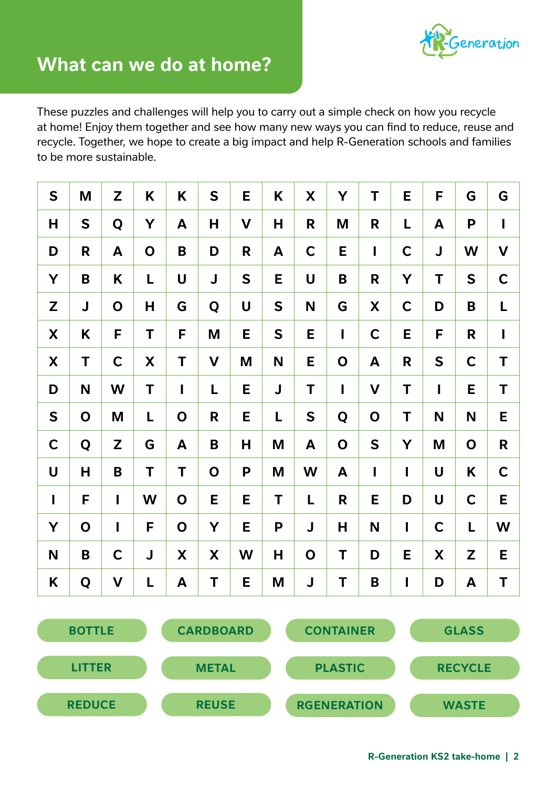

These puzzles and challenges will help you to carry out a simple check on how you recycle at home! Enjoy them together and see how many new ways you can find to reduce, reuse and recycle. Together, we hope to create a big impact and help R-Generation schools and families to be more sustainable.

| $\mathsf{S}$   | M           | Z            | K           | K            | $\mathsf{S}$ | E            | K            | X           | Y            | T            | E              | F            | G            | G            |
|----------------|-------------|--------------|-------------|--------------|--------------|--------------|--------------|-------------|--------------|--------------|----------------|--------------|--------------|--------------|
| Н              | S           | Q            | Y           | A            | Н            | $\mathbf v$  | H            | R           | M            | R            | Г              | A            | P            | $\mathbf{I}$ |
| D              | R           | A            | $\mathbf O$ | B            | D            | R            | A            | $\mathbf C$ | E            | I            | $\mathbf C$    | J            | W            | $\mathbf V$  |
| Y              | B           | K            | L           | U            | J            | $\mathsf{S}$ | E            | U           | B            | R            | Y              | T            | S            | $\mathbf C$  |
| Z              | $\mathsf J$ | $\mathbf O$  | H           | G            | Q            | U            | $\mathsf{S}$ | N           | G            | X            | $\mathbf C$    | D            | B            | Г            |
| X              | Κ           | F            | T           | F            | M            | Е            | $\mathsf{S}$ | E           | $\mathbf{I}$ | $\mathbf C$  | E              | F            | $\mathsf{R}$ | $\mathbf{I}$ |
| X              | T           | $\mathbf C$  | X           | T            | $\mathbf V$  | M            | N            | E           | $\mathbf O$  | A            | R              | S            | $\mathbf C$  | T            |
| D              | N           | W            | T           | $\mathbf{I}$ | L            | E            | J            | Τ           | $\mathbf{I}$ | $\mathbf V$  | T              | $\mathbf{I}$ | E            | T            |
| S              | $\mathbf O$ | M            | L           | $\mathbf O$  | R            | E            | L            | S           | Q            | $\mathbf O$  | T              | N            | N            | Е            |
| $\mathsf{C}$   | Q           | Z            | G           | A            | B            | Н            | M            | A           | $\mathbf O$  | S            | Y              | M            | $\mathbf O$  | R            |
| $\mathsf{U}$   | H           | B            | T           | T            | $\mathbf O$  | P            | M            | W           | A            | $\mathbf{I}$ | $\mathbf{I}$   | U            | K            | $\mathsf{C}$ |
| $\overline{1}$ | F           | $\mathbf{I}$ | W           | $\mathbf O$  | E            | E            | T            | L           | R            | E            | D              | U            | $\mathsf{C}$ | E            |
| Y              | $\mathbf O$ | I            | F           | $\mathbf O$  | Y            | E            | P            | J           | H            | N            | $\mathbf{I}$   | $\mathsf{C}$ | L            | W            |
| N              | B           | $\mathbf C$  | J           | X            | X            | W            | Н            | $\mathbf O$ | Τ            | D            | E              | X            | Z            | E            |
| K              | Q           | $\mathbf V$  | L           | A            | T            | E            | M            | J           | T            | B            | $\overline{1}$ | D            | A            | T            |

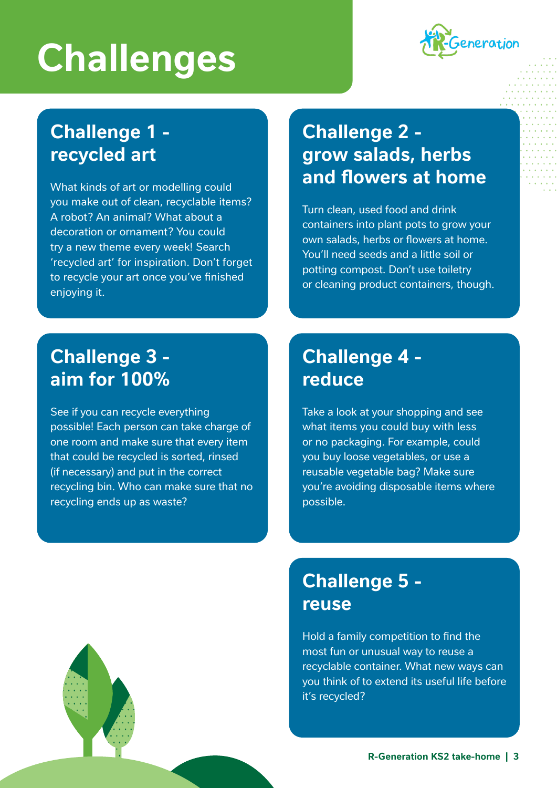# **Challenges**



# **Challenge 1 recycled art**

What kinds of art or modelling could you make out of clean, recyclable items? A robot? An animal? What about a decoration or ornament? You could try a new theme every week! Search 'recycled art' for inspiration. Don't forget to recycle your art once you've finished enjoying it.

# **Challenge 2 grow salads, herbs and flowers at home**

Turn clean, used food and drink containers into plant pots to grow your own salads, herbs or flowers at home. You'll need seeds and a little soil or potting compost. Don't use toiletry or cleaning product containers, though.

### **Challenge 3 aim for 100%**

See if you can recycle everything possible! Each person can take charge of one room and make sure that every item that could be recycled is sorted, rinsed (if necessary) and put in the correct recycling bin. Who can make sure that no recycling ends up as waste?

### **Challenge 4 reduce**

Take a look at your shopping and see what items you could buy with less or no packaging. For example, could you buy loose vegetables, or use a reusable vegetable bag? Make sure you're avoiding disposable items where possible.

## **Challenge 5 reuse**

Hold a family competition to find the most fun or unusual way to reuse a recyclable container. What new ways can you think of to extend its useful life before it's recycled?